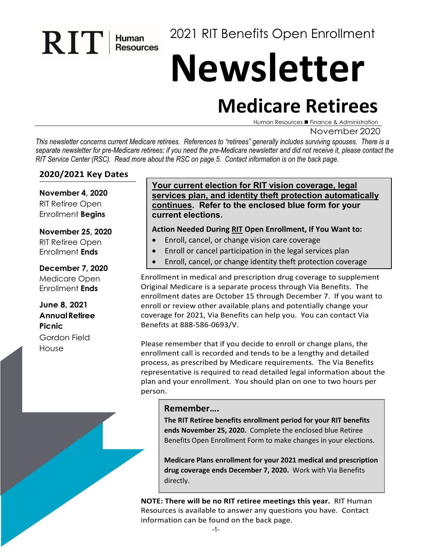2021 RIT Benefits Open Enrollment

# **Newsletter**

# **Medicare Retirees**

Human Resources ■ Finance & Administration

#### November 2020

*This newsletter concerns current Medicare retirees. References to "retirees" generally includes surviving spouses. There is a separate newsletter for pre-Medicare retirees; if you need the pre-Medicare newsletter and did not receive it, please contact the RIT Service Center (RSC). Read more about the RSC on page 5. Contact information is on the back page.* 

#### **2020/2021 Key Dates**

 $\mathbf{R}$   $\prod$   $\prod$  Human

**November 4, 2020** RIT Retiree Open Enrollment **Begins**

#### **November 25, 2020**

RIT Retiree Open Enrollment **Ends**

#### **December 7, 2020**

Medicare Open Enrollment **Ends**

**June 8, 2021 AnnualRetiree Picnic** Gordon Field House

#### **Your current election for RIT vision coverage, legal services plan, and identity theft protection automatically continues. Refer to the enclosed blue form for your current elections.**

#### **Action Needed During RIT Open Enrollment, If You Want to:**

- Enroll, cancel, or change vision care coverage
- Enroll or cancel participation in the legal services plan
- Enroll, cancel, or change identity theft protection coverage

Enrollment in medical and prescription drug coverage to supplement Original Medicare is a separate process through Via Benefits. The enrollment dates are October 15 through December 7. If you want to enroll or review other available plans and potentially change your coverage for 2021, Via Benefits can help you. You can contact Via Benefits at 888-586-0693/V.

Please remember that if you decide to enroll or change plans, the enrollment call is recorded and tends to be a lengthy and detailed process, as prescribed by Medicare requirements. The Via Benefits representative is required to read detailed legal information about the plan and your enrollment. You should plan on one to two hours per person.

#### **Remember….**

**The RIT Retiree benefits enrollment period for your RIT benefits ends November 25, 2020.** Complete the enclosed blue Retiree Benefits Open Enrollment Form to make changes in your elections.

**Medicare Plans enrollment for your 2021 medical and prescription drug coverage ends December 7, 2020.** Work with Via Benefits directly.

**NOTE: There will be no RIT retiree meetings this year.** RIT Human Resources is available to answer any questions you have. Contact information can be found on the back page.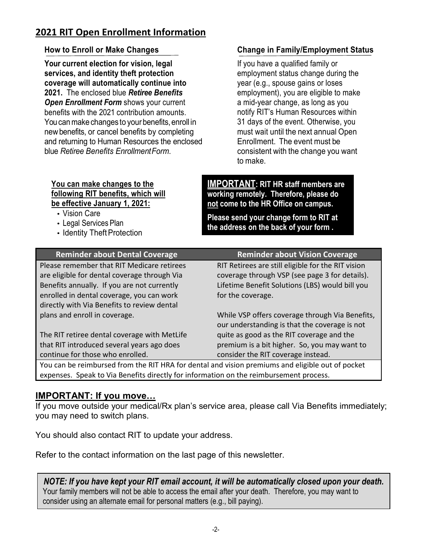# **2021 RIT Open Enrollment Information**

#### **How to Enroll or Make Changes**

**Your current election for vision, legal services, and identity theft protection coverage will automatically continue into 2021.** The enclosed blue *Retiree Benefits Open Enrollment Form* shows your current benefits with the 2021 contribution amounts. You can make changes to your benefits, enroll in newbenefits, or cancel benefits by completing and returning to Human Resources the enclosed blue *Retiree Benefits EnrollmentForm*.

#### **You can make changes to the following RIT benefits, which will be effective January 1, 2021:**

- Vision Care
- Legal Services Plan
- Identity Theft Protection

# **Change in Family/Employment Status**

If you have a qualified family or employment status change during the year (e.g., spouse gains or loses employment), you are eligible to make a mid-year change, as long as you notify RIT's Human Resources within 31 days of the event. Otherwise, you must wait until the next annual Open Enrollment. The event must be consistent with the change you want to make.

**IMPORTANT: RIT HR staff members are working remotely. Therefore, please do not come to the HR Office on campus.**

**Please send your change form to RIT at the address on the back of your form .**

| <b>Reminder about Dental Coverage</b>        | <b>Reminder about Vision Coverage</b>              |
|----------------------------------------------|----------------------------------------------------|
| Please remember that RIT Medicare retirees   | RIT Retirees are still eligible for the RIT vision |
| are eligible for dental coverage through Via | coverage through VSP (see page 3 for details).     |
| Benefits annually. If you are not currently  | Lifetime Benefit Solutions (LBS) would bill you    |
| enrolled in dental coverage, you can work    | for the coverage.                                  |
| directly with Via Benefits to review dental  |                                                    |
| plans and enroll in coverage.                | While VSP offers coverage through Via Benefits,    |
|                                              | our understanding is that the coverage is not      |
| The RIT retiree dental coverage with MetLife | quite as good as the RIT coverage and the          |
| that RIT introduced several years ago does   | premium is a bit higher. So, you may want to       |
| continue for those who enrolled.             | consider the RIT coverage instead.                 |
|                                              |                                                    |

You can be reimbursed from the RIT HRA for dental and vision premiums and eligible out of pocket expenses. Speak to Via Benefits directly for information on the reimbursement process.

# **IMPORTANT: If you move…**

If you move outside your medical/Rx plan's service area, please call Via Benefits immediately; you may need to switch plans.

You should also contact RIT to update your address.

Refer to the contact information on the last page of this newsletter.

*NOTE: If you have kept your RIT email account, it will be automatically closed upon your death.* Your family members will not be able to access the email after your death. Therefore, you may want to consider using an alternate email for personal matters (e.g., bill paying).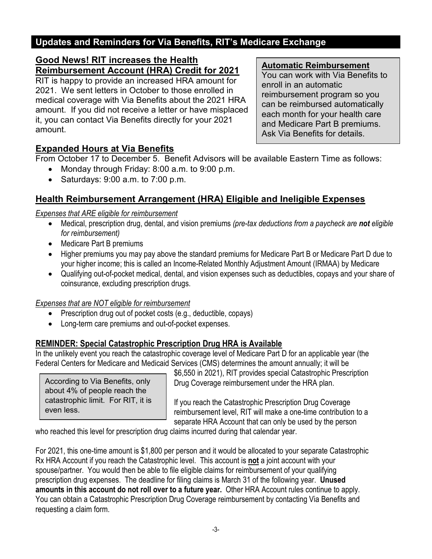# **Updates and Reminders for Via Benefits, RIT's Medicare Exchange**

# **Good News! RIT increases the Health Reimbursement Account (HRA) Credit for 2021**

RIT is happy to provide an increased HRA amount for 2021. We sent letters in October to those enrolled in medical coverage with Via Benefits about the 2021 HRA amount. If you did not receive a letter or have misplaced it, you can contact Via Benefits directly for your 2021 amount.

#### **Automatic Reimbursement**

You can work with Via Benefits to enroll in an automatic reimbursement program so you can be reimbursed automatically each month for your health care and Medicare Part B premiums. Ask Via Benefits for details.

# **Expanded Hours at Via Benefits**

From October 17 to December 5. Benefit Advisors will be available Eastern Time as follows:

- Monday through Friday: 8:00 a.m. to 9:00 p.m.
- Saturdays: 9:00 a.m. to 7:00 p.m.

# **Health Reimbursement Arrangement (HRA) Eligible and Ineligible Expenses**

# *Expenses that ARE eligible for reimbursement*

- Medical, prescription drug, dental, and vision premiums *(pre-tax deductions from a paycheck are not eligible for reimbursement)*
- Medicare Part B premiums
- Higher premiums you may pay above the standard premiums for Medicare Part B or Medicare Part D due to your higher income; this is called an Income-Related Monthly Adjustment Amount (IRMAA) by Medicare
- Qualifying out-of-pocket medical, dental, and vision expenses such as deductibles, copays and your share of coinsurance, excluding prescription drugs.

# *Expenses that are NOT eligible for reimbursement*

- Prescription drug out of pocket costs (e.g., deductible, copays)
- Long-term care premiums and out-of-pocket expenses.

# **REMINDER: Special Catastrophic Prescription Drug HRA is Available**

In the unlikely event you reach the catastrophic coverage level of Medicare Part D for an applicable year (the Federal Centers for Medicare and Medicaid Services (CMS) determines the amount annually; it will be

According to Via Benefits, only about 4% of people reach the catastrophic limit. For RIT, it is even less.

\$6,550 in 2021), RIT provides special Catastrophic Prescription Drug Coverage reimbursement under the HRA plan.

If you reach the Catastrophic Prescription Drug Coverage reimbursement level, RIT will make a one-time contribution to a separate HRA Account that can only be used by the person

who reached this level for prescription drug claims incurred during that calendar year.

For 2021, this one-time amount is \$1,800 per person and it would be allocated to your separate Catastrophic Rx HRA Account if you reach the Catastrophic level. This account is **not** a joint account with your spouse/partner. You would then be able to file eligible claims for reimbursement of your qualifying prescription drug expenses. The deadline for filing claims is March 31 of the following year. **Unused amounts in this account do not roll over to a future year.** Other HRA Account rules continue to apply. You can obtain a Catastrophic Prescription Drug Coverage reimbursement by contacting Via Benefits and requesting a claim form.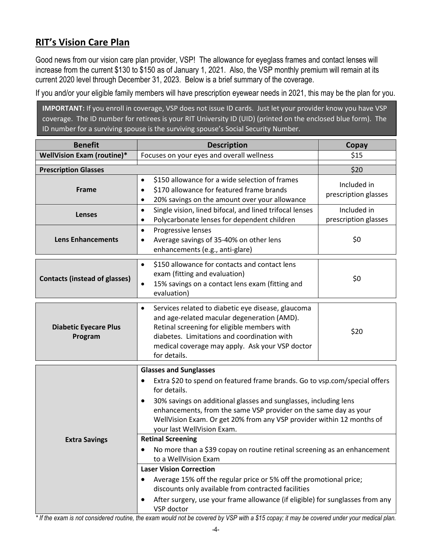# **RIT's Vision Care Plan**

Good news from our vision care plan provider, VSP! The allowance for eyeglass frames and contact lenses will increase from the current \$130 to \$150 as of January 1, 2021. Also, the VSP monthly premium will remain at its current 2020 level through December 31, 2023. Below is a brief summary of the coverage.

If you and/or your eligible family members will have prescription eyewear needs in 2021, this may be the plan for you.

**IMPORTANT:** If you enroll in coverage, VSP does not issue ID cards. Just let your provider know you have VSP coverage. The ID number for retirees is your RIT University ID (UID) (printed on the enclosed blue form). The ID number for a surviving spouse is the surviving spouse's Social Security Number.

| <b>Benefit</b>                          | <b>Description</b>                                                                                                                                                                                                                                                                                                                                                                                                                                                                                                                                                                                                                                                                                                                                                                         | Copay                               |  |
|-----------------------------------------|--------------------------------------------------------------------------------------------------------------------------------------------------------------------------------------------------------------------------------------------------------------------------------------------------------------------------------------------------------------------------------------------------------------------------------------------------------------------------------------------------------------------------------------------------------------------------------------------------------------------------------------------------------------------------------------------------------------------------------------------------------------------------------------------|-------------------------------------|--|
| WellVision Exam (routine)*              | Focuses on your eyes and overall wellness                                                                                                                                                                                                                                                                                                                                                                                                                                                                                                                                                                                                                                                                                                                                                  | \$15                                |  |
| <b>Prescription Glasses</b>             |                                                                                                                                                                                                                                                                                                                                                                                                                                                                                                                                                                                                                                                                                                                                                                                            | \$20                                |  |
| Frame                                   | \$150 allowance for a wide selection of frames<br>$\bullet$<br>\$170 allowance for featured frame brands<br>٠<br>20% savings on the amount over your allowance<br>٠                                                                                                                                                                                                                                                                                                                                                                                                                                                                                                                                                                                                                        | Included in<br>prescription glasses |  |
| <b>Lenses</b>                           | Single vision, lined bifocal, and lined trifocal lenses<br>$\bullet$<br>Polycarbonate lenses for dependent children<br>٠                                                                                                                                                                                                                                                                                                                                                                                                                                                                                                                                                                                                                                                                   | Included in<br>prescription glasses |  |
| <b>Lens Enhancements</b>                | Progressive lenses<br>$\bullet$<br>Average savings of 35-40% on other lens<br>٠<br>enhancements (e.g., anti-glare)                                                                                                                                                                                                                                                                                                                                                                                                                                                                                                                                                                                                                                                                         | \$0                                 |  |
| <b>Contacts (instead of glasses)</b>    | \$150 allowance for contacts and contact lens<br>$\bullet$<br>exam (fitting and evaluation)<br>15% savings on a contact lens exam (fitting and<br>$\bullet$<br>evaluation)                                                                                                                                                                                                                                                                                                                                                                                                                                                                                                                                                                                                                 | \$0                                 |  |
| <b>Diabetic Eyecare Plus</b><br>Program | Services related to diabetic eye disease, glaucoma<br>$\bullet$<br>and age-related macular degeneration (AMD).<br>Retinal screening for eligible members with<br>diabetes. Limitations and coordination with<br>medical coverage may apply. Ask your VSP doctor<br>for details.                                                                                                                                                                                                                                                                                                                                                                                                                                                                                                            | \$20                                |  |
| <b>Extra Savings</b>                    | <b>Glasses and Sunglasses</b><br>Extra \$20 to spend on featured frame brands. Go to vsp.com/special offers<br>for details.<br>30% savings on additional glasses and sunglasses, including lens<br>$\bullet$<br>enhancements, from the same VSP provider on the same day as your<br>WellVision Exam. Or get 20% from any VSP provider within 12 months of<br>your last WellVision Exam.<br><b>Retinal Screening</b><br>No more than a \$39 copay on routine retinal screening as an enhancement<br>٠<br>to a WellVision Exam<br><b>Laser Vision Correction</b><br>Average 15% off the regular price or 5% off the promotional price;<br>discounts only available from contracted facilities<br>After surgery, use your frame allowance (if eligible) for sunglasses from any<br>VSP doctor |                                     |  |

*\* If the exam is not considered routine, the exam would not be covered by VSP with a \$15 copay; it may be covered under your medical plan.*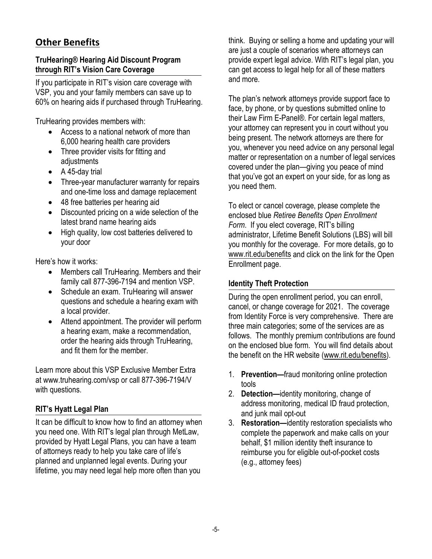# **Other Benefits**

# **TruHearing® Hearing Aid Discount Program through RIT's Vision Care Coverage**

If you participate in RIT's vision care coverage with VSP, you and your family members can save up to 60% on hearing aids if purchased through TruHearing.

TruHearing provides members with:

- Access to a national network of more than 6,000 hearing health care providers
- Three provider visits for fitting and adjustments
- A 45-day trial
- Three-year manufacturer warranty for repairs and one-time loss and damage replacement
- 48 free batteries per hearing aid
- Discounted pricing on a wide selection of the latest brand name hearing aids
- High quality, low cost batteries delivered to your door

Here's how it works:

- Members call TruHearing. Members and their family call 877-396-7194 and mention VSP.
- Schedule an exam. TruHearing will answer questions and schedule a hearing exam with a local provider.
- Attend appointment. The provider will perform a hearing exam, make a recommendation, order the hearing aids through TruHearing, and fit them for the member.

Learn more about this VSP Exclusive Member Extra at [www.truhearing.com/vsp o](http://www.truhearing.com/vsp)r call 877-396-7194/V with questions.

# **RIT's Hyatt Legal Plan**

It can be difficult to know how to find an attorney when you need one. With RIT's legal plan through MetLaw, provided by Hyatt Legal Plans, you can have a team of attorneys ready to help you take care of life's planned and unplanned legal events. During your lifetime, you may need legal help more often than you

think. Buying or selling a home and updating your will are just a couple of scenarios where attorneys can provide expert legal advice. With RIT's legal plan, you can get access to legal help for all of these matters and more.

The plan's network attorneys provide support face to face, by phone, or by questions submitted online to their Law Firm E-Panel®. For certain legal matters, your attorney can represent you in court without you being present. The network attorneys are there for you, whenever you need advice on any personal legal matter or representation on a number of legal services covered under the plan—giving you peace of mind that you've got an expert on your side, for as long as you need them.

To elect or cancel coverage, please complete the enclosed blue *Retiree Benefits Open Enrollment Form*. If you elect coverage, RIT's billing administrator, Lifetime Benefit Solutions (LBS) will bill you monthly for the coverage. For more details, go to [www.rit.edu/benefits](http://www.rit.edu/benefits) and click on the link for the Open Enrollment page.

# **Identity Theft Protection**

During the open enrollment period, you can enroll, cancel, or change coverage for 2021. The coverage from Identity Force is very comprehensive. There are three main categories; some of the services are as follows. The monthly premium contributions are found on the enclosed blue form. You will find details about the benefit on the HR website [\(www.rit.edu/benefits\)](http://www.rit.edu/benefits).

- 1. **Prevention—**fraud monitoring online protection tools
- 2. **Detection—**identity monitoring, change of address monitoring, medical ID fraud protection, and junk mail opt-out
- 3. **Restoration—**identity restoration specialists who complete the paperwork and make calls on your behalf, \$1 million identity theft insurance to reimburse you for eligible out-of-pocket costs (e.g., attorney fees)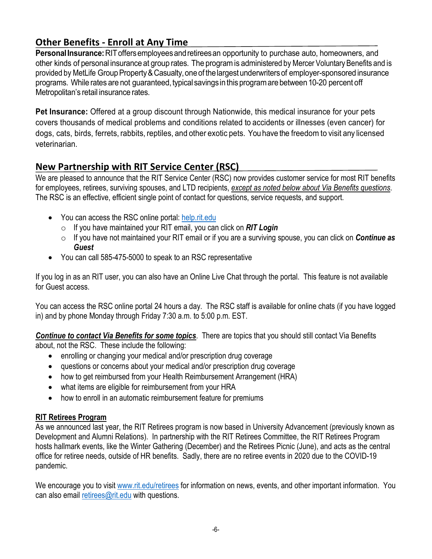# **Other Benefits - Enroll at Any Time**

**PersonalInsurance:**RIToffersemployeesandretireesan opportunity to purchase auto, homeowners, and other kinds of personal insurance at group rates. The programis administered by Mercer Voluntary Benefits and is provided by MetLife Group Property & Casualty, one of the largest underwriters of employer-sponsored insurance programs. While rates are not guaranteed, typical savings in this program are between 10-20 percent off Metropolitan's retail insurance rates.

**Pet Insurance:** Offered at a group discount through Nationwide, this medical insurance for your pets covers thousands of medical problems and conditions related to accidents or illnesses (even cancer) for dogs, cats, birds, ferrets, rabbits, reptiles, and other exotic pets. You have the freedomto visit any licensed veterinarian.

# **New Partnership with RIT Service Center (RSC)**

We are pleased to announce that the RIT Service Center (RSC) now provides customer service for most RIT benefits for employees, retirees, surviving spouses, and LTD recipients, *except as noted below about Via Benefits questions*. The RSC is an effective, efficient single point of contact for questions, service requests, and support.

- You can access the RSC online portal: [help.rit.edu](https://help.rit.edu/sp)
	- o If you have maintained your RIT email, you can click on *RIT Login*
	- o If you have not maintained your RIT email or if you are a surviving spouse, you can click on *Continue as Guest*
- You can call 585-475-5000 to speak to an RSC representative

If you log in as an RIT user, you can also have an Online Live Chat through the portal. This feature is not available for Guest access.

You can access the RSC online portal 24 hours a day. The RSC staff is available for online chats (if you have logged in) and by phone Monday through Friday 7:30 a.m. to 5:00 p.m. EST.

*Continue to contact Via Benefits for some topics*. There are topics that you should still contact Via Benefits about, not the RSC. These include the following:

- enrolling or changing your medical and/or prescription drug coverage
- questions or concerns about your medical and/or prescription drug coverage
- how to get reimbursed from your Health Reimbursement Arrangement (HRA)
- what items are eligible for reimbursement from your HRA
- how to enroll in an automatic reimbursement feature for premiums

# **RIT Retirees Program**

As we announced last year, the RIT Retirees program is now based in University Advancement (previously known as Development and Alumni Relations). In partnership with the RIT Retirees Committee, the RIT Retirees Program hosts hallmark events, like the Winter Gathering (December) and the Retirees Picnic (June), and acts as the central office for retiree needs, outside of HR benefits. Sadly, there are no retiree events in 2020 due to the COVID-19 pandemic.

We encourage you to visit [www.rit.edu/retirees](http://www.rit.edu/retirees) for information on news, events, and other important information. You can also email [retirees@rit.edu](mailto:retirees@rit.edu) with questions.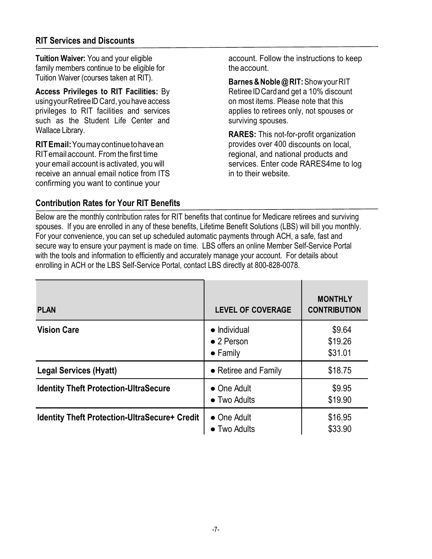# **RIT Services and Discounts**

**Tuition Waiver:** You and your eligible family members continue to be eligible for Tuition Waiver (courses taken at RIT).

**Access Privileges to RIT Facilities:** By usingyourRetireeID Card, you have access privileges to RIT facilities and services such as the Student Life Center and Wallace Library.

**RITEmail:**Youmaycontinuetohavean RITemailaccount. Fromthe first time your email account is activated, you will receive an annual email notice from ITS confirming you want to continue your

account. Follow the instructions to keep the account.

**Barnes&Noble@RIT:**ShowyourRIT Retiree ID Card and get a 10% discount on most items. Please note that this applies to retirees only, not spouses or surviving spouses.

**RARES:** This not-for-profit organization provides over 400 discounts on local, regional, and national products and services. Enter code RARES4me to log in to their website.

# **Contribution Rates for Your RIT Benefits**

Below are the monthly contribution rates for RIT benefits that continue for Medicare retirees and surviving spouses. If you are enrolled in any of these benefits, Lifetime Benefit Solutions (LBS) will bill you monthly. For your convenience, you can set up scheduled automatic payments through ACH, a safe, fast and secure way to ensure your payment is made on time. LBS offers an online Member Self-Service Portal with the tools and information to efficiently and accurately manage your account. For details about enrolling in ACH or the LBS Self-Service Portal, contact LBS directly at 800-828-0078.

| <b>PLAN</b>                                          | <b>LEVEL OF COVERAGE</b>                                       | <b>MONTHLY</b><br><b>CONTRIBUTION</b> |
|------------------------------------------------------|----------------------------------------------------------------|---------------------------------------|
| <b>Vision Care</b>                                   | $\bullet$ Individual<br>$\bullet$ 2 Person<br>$\bullet$ Family | \$9.64<br>\$19.26<br>\$31.01          |
| <b>Legal Services (Hyatt)</b>                        | • Retiree and Family                                           | \$18.75                               |
| <b>Identity Theft Protection-UltraSecure</b>         | • One Adult<br>$\bullet$ Two Adults                            | \$9.95<br>\$19.90                     |
| <b>Identity Theft Protection-UltraSecure+ Credit</b> | $\bullet$ One Adult<br>$\bullet$ Two Adults                    | \$16.95<br>\$33.90                    |